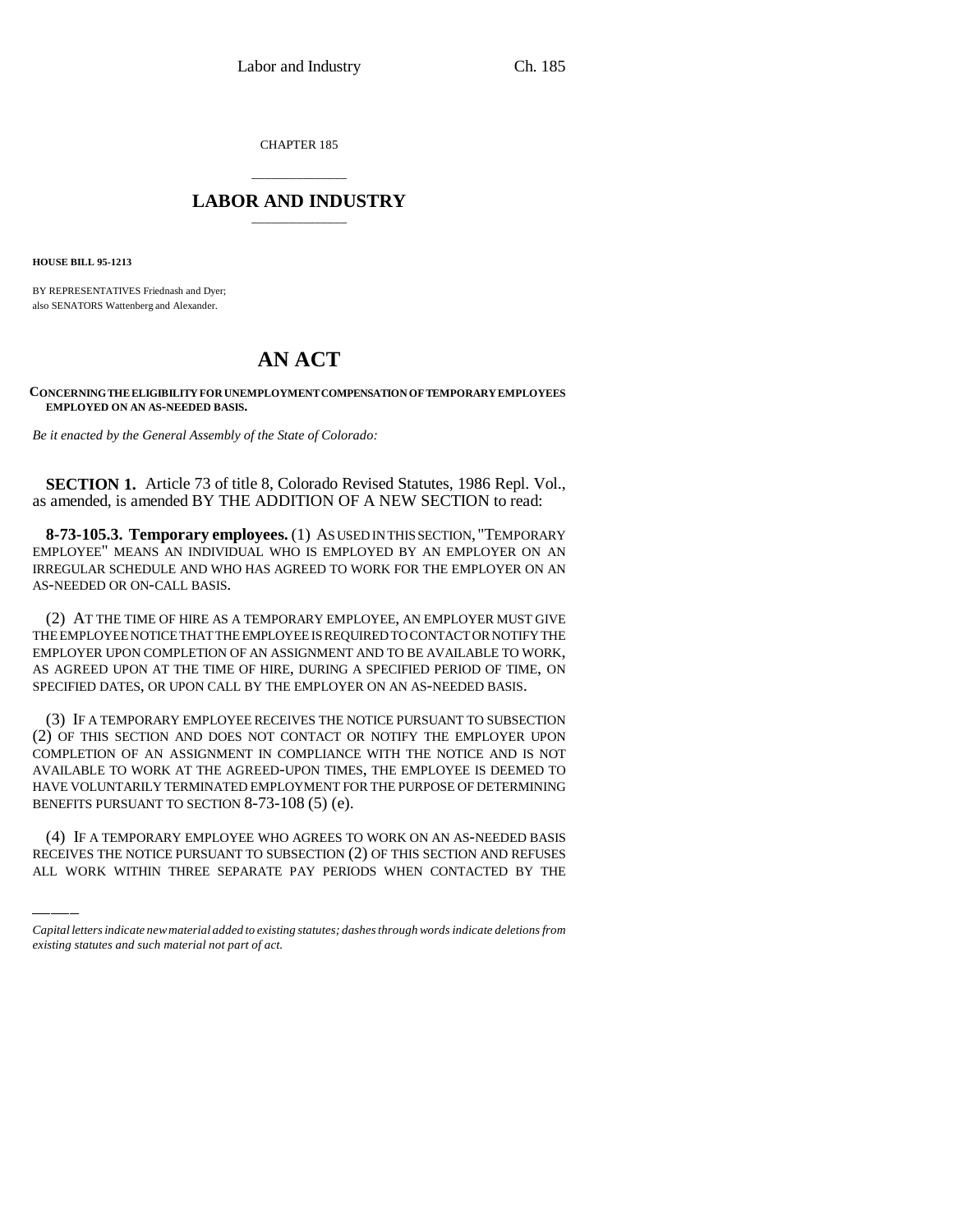CHAPTER 185

## \_\_\_\_\_\_\_\_\_\_\_\_\_\_\_ **LABOR AND INDUSTRY** \_\_\_\_\_\_\_\_\_\_\_\_\_\_\_

**HOUSE BILL 95-1213**

BY REPRESENTATIVES Friednash and Dyer; also SENATORS Wattenberg and Alexander.

## **AN ACT**

**CONCERNING THE ELIGIBILITY FOR UNEMPLOYMENT COMPENSATION OF TEMPORARY EMPLOYEES EMPLOYED ON AN AS-NEEDED BASIS.**

*Be it enacted by the General Assembly of the State of Colorado:*

**SECTION 1.** Article 73 of title 8, Colorado Revised Statutes, 1986 Repl. Vol., as amended, is amended BY THE ADDITION OF A NEW SECTION to read:

**8-73-105.3. Temporary employees.** (1) AS USED IN THIS SECTION, "TEMPORARY EMPLOYEE" MEANS AN INDIVIDUAL WHO IS EMPLOYED BY AN EMPLOYER ON AN IRREGULAR SCHEDULE AND WHO HAS AGREED TO WORK FOR THE EMPLOYER ON AN AS-NEEDED OR ON-CALL BASIS.

(2) AT THE TIME OF HIRE AS A TEMPORARY EMPLOYEE, AN EMPLOYER MUST GIVE THE EMPLOYEE NOTICE THAT THE EMPLOYEE IS REQUIRED TO CONTACT OR NOTIFY THE EMPLOYER UPON COMPLETION OF AN ASSIGNMENT AND TO BE AVAILABLE TO WORK, AS AGREED UPON AT THE TIME OF HIRE, DURING A SPECIFIED PERIOD OF TIME, ON SPECIFIED DATES, OR UPON CALL BY THE EMPLOYER ON AN AS-NEEDED BASIS.

BENEFITS PURSUANT TO SECTION 8-73-108 (5) (e). (3) IF A TEMPORARY EMPLOYEE RECEIVES THE NOTICE PURSUANT TO SUBSECTION (2) OF THIS SECTION AND DOES NOT CONTACT OR NOTIFY THE EMPLOYER UPON COMPLETION OF AN ASSIGNMENT IN COMPLIANCE WITH THE NOTICE AND IS NOT AVAILABLE TO WORK AT THE AGREED-UPON TIMES, THE EMPLOYEE IS DEEMED TO HAVE VOLUNTARILY TERMINATED EMPLOYMENT FOR THE PURPOSE OF DETERMINING

(4) IF A TEMPORARY EMPLOYEE WHO AGREES TO WORK ON AN AS-NEEDED BASIS RECEIVES THE NOTICE PURSUANT TO SUBSECTION (2) OF THIS SECTION AND REFUSES ALL WORK WITHIN THREE SEPARATE PAY PERIODS WHEN CONTACTED BY THE

*Capital letters indicate new material added to existing statutes; dashes through words indicate deletions from existing statutes and such material not part of act.*